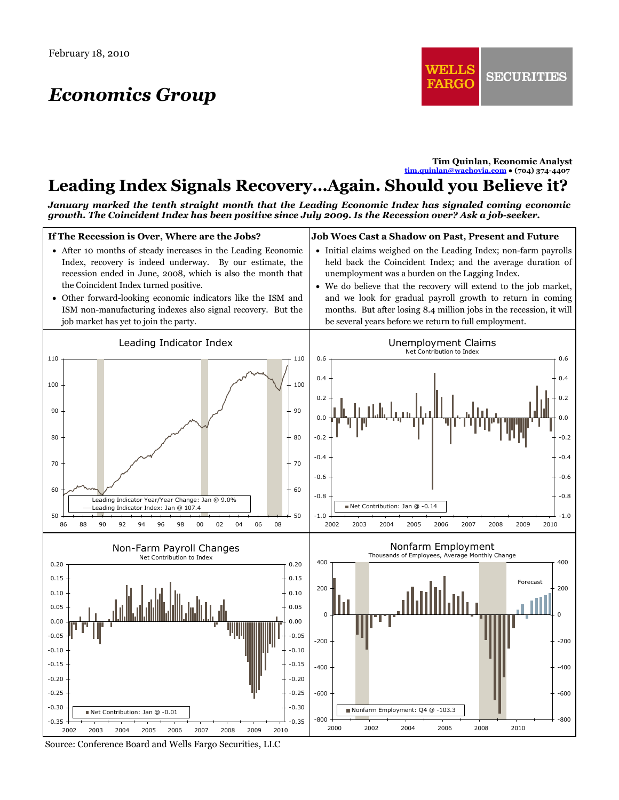## *Economics Group*

**Tim Quinlan, Economic Analyst [tim.quinlan@wachovia.com](mailto:tim.quinlan@wachovia.com) ● (704) 374-4407** 

## **Leading Index Signals Recovery…Again. Should you Believe it?**

*January marked the tenth straight month that the Leading Economic Index has signaled coming economic growth. The Coincident Index has been positive since July 2009. Is the Recession over? Ask a job-seeker.*